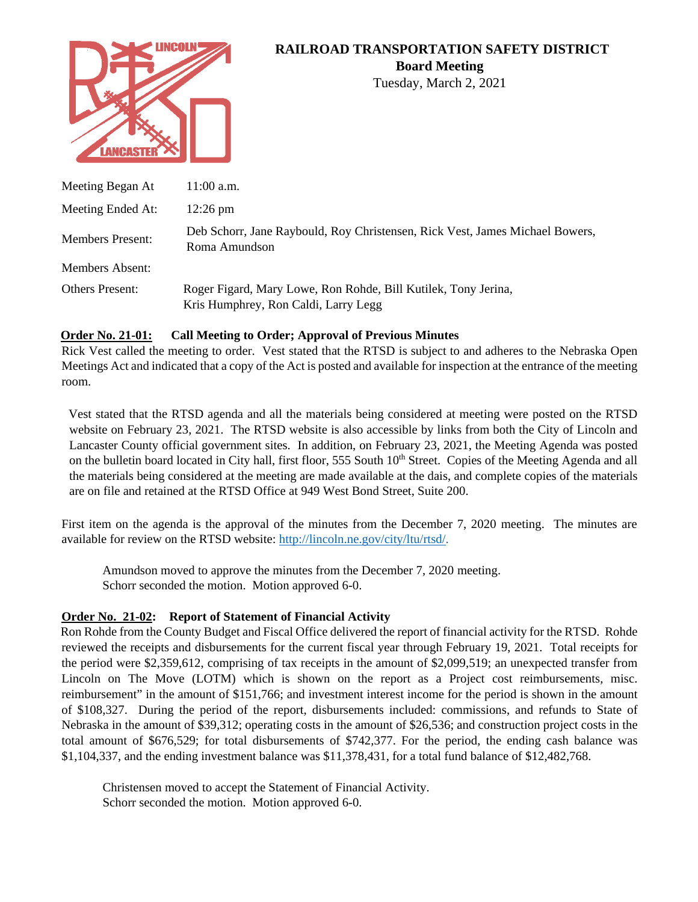

# **RAILROAD TRANSPORTATION SAFETY DISTRICT**

**Board Meeting**

Tuesday, March 2, 2021

| Meeting Began At        | $11:00$ a.m.                                                                                           |
|-------------------------|--------------------------------------------------------------------------------------------------------|
| Meeting Ended At:       | $12:26 \text{ pm}$                                                                                     |
| <b>Members Present:</b> | Deb Schorr, Jane Raybould, Roy Christensen, Rick Vest, James Michael Bowers,<br>Roma Amundson          |
| <b>Members Absent:</b>  |                                                                                                        |
| <b>Others Present:</b>  | Roger Figard, Mary Lowe, Ron Rohde, Bill Kutilek, Tony Jerina,<br>Kris Humphrey, Ron Caldi, Larry Legg |

## **Order No. 21-01: Call Meeting to Order; Approval of Previous Minutes**

Rick Vest called the meeting to order. Vest stated that the RTSD is subject to and adheres to the Nebraska Open Meetings Act and indicated that a copy of the Act is posted and available for inspection at the entrance of the meeting room.

Vest stated that the RTSD agenda and all the materials being considered at meeting were posted on the RTSD website on February 23, 2021. The RTSD website is also accessible by links from both the City of Lincoln and Lancaster County official government sites. In addition, on February 23, 2021, the Meeting Agenda was posted on the bulletin board located in City hall, first floor, 555 South 10<sup>th</sup> Street. Copies of the Meeting Agenda and all the materials being considered at the meeting are made available at the dais, and complete copies of the materials are on file and retained at the RTSD Office at 949 West Bond Street, Suite 200.

First item on the agenda is the approval of the minutes from the December 7, 2020 meeting. The minutes are available for review on the RTSD website: [http://lincoln.ne.gov/city/ltu/rtsd/.](http://lincoln.ne.gov/city/pworks/rtsd/)

Amundson moved to approve the minutes from the December 7, 2020 meeting. Schorr seconded the motion. Motion approved 6-0.

## **Order No. 21-02: Report of Statement of Financial Activity**

Ron Rohde from the County Budget and Fiscal Office delivered the report of financial activity for the RTSD. Rohde reviewed the receipts and disbursements for the current fiscal year through February 19, 2021. Total receipts for the period were \$2,359,612, comprising of tax receipts in the amount of \$2,099,519; an unexpected transfer from Lincoln on The Move (LOTM) which is shown on the report as a Project cost reimbursements, misc. reimbursement" in the amount of \$151,766; and investment interest income for the period is shown in the amount of \$108,327. During the period of the report, disbursements included: commissions, and refunds to State of Nebraska in the amount of \$39,312; operating costs in the amount of \$26,536; and construction project costs in the total amount of \$676,529; for total disbursements of \$742,377. For the period, the ending cash balance was \$1,104,337, and the ending investment balance was \$11,378,431, for a total fund balance of \$12,482,768.

Christensen moved to accept the Statement of Financial Activity. Schorr seconded the motion. Motion approved 6-0.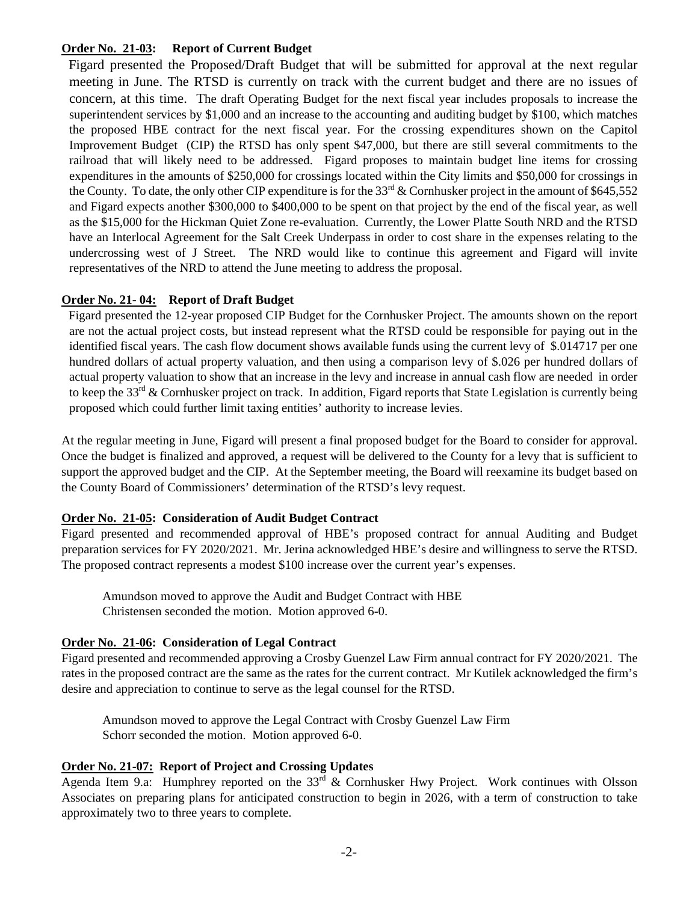#### **Order No. 21-03: Report of Current Budget**

Figard presented the Proposed/Draft Budget that will be submitted for approval at the next regular meeting in June. The RTSD is currently on track with the current budget and there are no issues of concern, at this time. The draft Operating Budget for the next fiscal year includes proposals to increase the superintendent services by \$1,000 and an increase to the accounting and auditing budget by \$100, which matches the proposed HBE contract for the next fiscal year. For the crossing expenditures shown on the Capitol Improvement Budget (CIP) the RTSD has only spent \$47,000, but there are still several commitments to the railroad that will likely need to be addressed. Figard proposes to maintain budget line items for crossing expenditures in the amounts of \$250,000 for crossings located within the City limits and \$50,000 for crossings in the County. To date, the only other CIP expenditure is for the  $33<sup>rd</sup>$  & Cornhusker project in the amount of \$645,552 and Figard expects another \$300,000 to \$400,000 to be spent on that project by the end of the fiscal year, as well as the \$15,000 for the Hickman Quiet Zone re-evaluation. Currently, the Lower Platte South NRD and the RTSD have an Interlocal Agreement for the Salt Creek Underpass in order to cost share in the expenses relating to the undercrossing west of J Street. The NRD would like to continue this agreement and Figard will invite representatives of the NRD to attend the June meeting to address the proposal.

### **Order No. 21- 04: Report of Draft Budget**

Figard presented the 12-year proposed CIP Budget for the Cornhusker Project. The amounts shown on the report are not the actual project costs, but instead represent what the RTSD could be responsible for paying out in the identified fiscal years. The cash flow document shows available funds using the current levy of \$.014717 per one hundred dollars of actual property valuation, and then using a comparison levy of \$.026 per hundred dollars of actual property valuation to show that an increase in the levy and increase in annual cash flow are needed in order to keep the 33<sup>rd</sup> & Cornhusker project on track. In addition, Figard reports that State Legislation is currently being proposed which could further limit taxing entities' authority to increase levies.

At the regular meeting in June, Figard will present a final proposed budget for the Board to consider for approval. Once the budget is finalized and approved, a request will be delivered to the County for a levy that is sufficient to support the approved budget and the CIP. At the September meeting, the Board will reexamine its budget based on the County Board of Commissioners' determination of the RTSD's levy request.

#### **Order No. 21-05: Consideration of Audit Budget Contract**

Figard presented and recommended approval of HBE's proposed contract for annual Auditing and Budget preparation services for FY 2020/2021. Mr. Jerina acknowledged HBE's desire and willingness to serve the RTSD. The proposed contract represents a modest \$100 increase over the current year's expenses.

Amundson moved to approve the Audit and Budget Contract with HBE Christensen seconded the motion. Motion approved 6-0.

## **Order No. 21-06: Consideration of Legal Contract**

Figard presented and recommended approving a Crosby Guenzel Law Firm annual contract for FY 2020/2021. The rates in the proposed contract are the same as the rates for the current contract. Mr Kutilek acknowledged the firm's desire and appreciation to continue to serve as the legal counsel for the RTSD.

Amundson moved to approve the Legal Contract with Crosby Guenzel Law Firm Schorr seconded the motion. Motion approved 6-0.

## **Order No. 21-07: Report of Project and Crossing Updates**

Agenda Item 9.a: Humphrey reported on the 33<sup>rd</sup> & Cornhusker Hwy Project. Work continues with Olsson Associates on preparing plans for anticipated construction to begin in 2026, with a term of construction to take approximately two to three years to complete.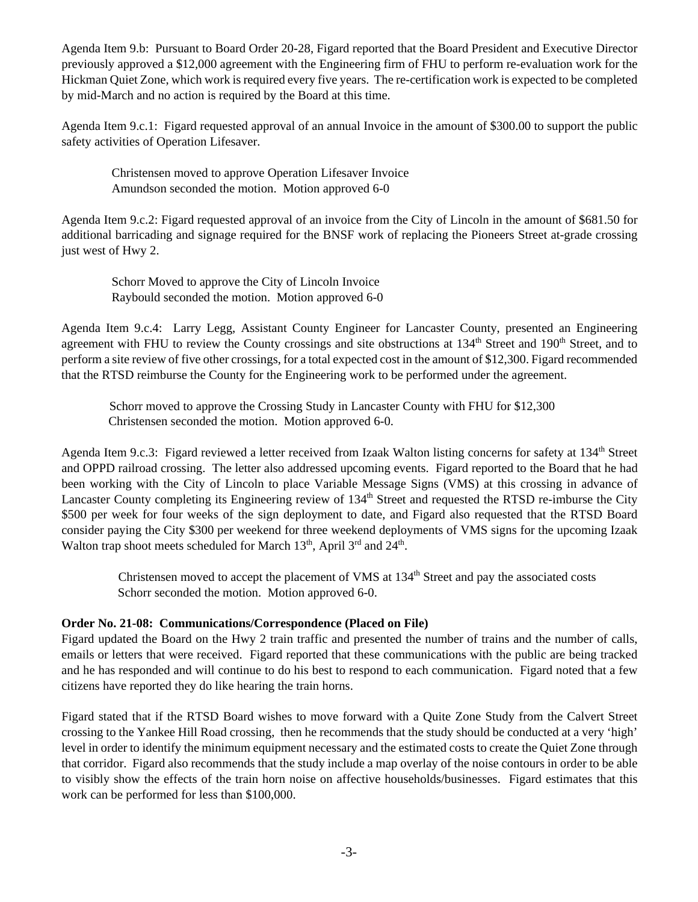Agenda Item 9.b: Pursuant to Board Order 20-28, Figard reported that the Board President and Executive Director previously approved a \$12,000 agreement with the Engineering firm of FHU to perform re-evaluation work for the Hickman Quiet Zone, which work is required every five years. The re-certification work is expected to be completed by mid-March and no action is required by the Board at this time.

Agenda Item 9.c.1: Figard requested approval of an annual Invoice in the amount of \$300.00 to support the public safety activities of Operation Lifesaver.

 Christensen moved to approve Operation Lifesaver Invoice Amundson seconded the motion. Motion approved 6-0

Agenda Item 9.c.2: Figard requested approval of an invoice from the City of Lincoln in the amount of \$681.50 for additional barricading and signage required for the BNSF work of replacing the Pioneers Street at-grade crossing just west of Hwy 2.

 Schorr Moved to approve the City of Lincoln Invoice Raybould seconded the motion. Motion approved 6-0

Agenda Item 9.c.4: Larry Legg, Assistant County Engineer for Lancaster County, presented an Engineering agreement with FHU to review the County crossings and site obstructions at 134<sup>th</sup> Street and 190<sup>th</sup> Street, and to perform a site review of five other crossings, for a total expected cost in the amount of \$12,300. Figard recommended that the RTSD reimburse the County for the Engineering work to be performed under the agreement.

 Schorr moved to approve the Crossing Study in Lancaster County with FHU for \$12,300 Christensen seconded the motion. Motion approved 6-0.

Agenda Item 9.c.3: Figard reviewed a letter received from Izaak Walton listing concerns for safety at 134<sup>th</sup> Street and OPPD railroad crossing. The letter also addressed upcoming events. Figard reported to the Board that he had been working with the City of Lincoln to place Variable Message Signs (VMS) at this crossing in advance of Lancaster County completing its Engineering review of 134<sup>th</sup> Street and requested the RTSD re-imburse the City \$500 per week for four weeks of the sign deployment to date, and Figard also requested that the RTSD Board consider paying the City \$300 per weekend for three weekend deployments of VMS signs for the upcoming Izaak Walton trap shoot meets scheduled for March 13<sup>th</sup>, April 3<sup>rd</sup> and 24<sup>th</sup>.

Christensen moved to accept the placement of VMS at 134<sup>th</sup> Street and pay the associated costs Schorr seconded the motion. Motion approved 6-0.

## **Order No. 21-08: Communications/Correspondence (Placed on File)**

Figard updated the Board on the Hwy 2 train traffic and presented the number of trains and the number of calls, emails or letters that were received. Figard reported that these communications with the public are being tracked and he has responded and will continue to do his best to respond to each communication. Figard noted that a few citizens have reported they do like hearing the train horns.

Figard stated that if the RTSD Board wishes to move forward with a Quite Zone Study from the Calvert Street crossing to the Yankee Hill Road crossing, then he recommends that the study should be conducted at a very 'high' level in order to identify the minimum equipment necessary and the estimated costs to create the Quiet Zone through that corridor. Figard also recommends that the study include a map overlay of the noise contours in order to be able to visibly show the effects of the train horn noise on affective households/businesses. Figard estimates that this work can be performed for less than \$100,000.